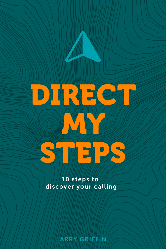# **DIRECT MY MY** STEPS

10 steps to discover your calling

LARRY GRIFFIN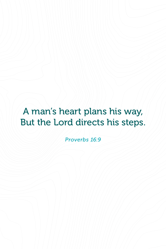## A man's heart plans his way, But the Lord directs his steps.

*Proverbs 16:9*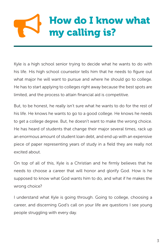# How do I know what my calling is?

Kyle is a high school senior trying to decide what he wants to do with his life. His high school counselor tells him that he needs to figure out what major he will want to pursue and where he should go to college. He has to start applying to colleges right away because the best spots are limited, and the process to attain financial aid is competitive.

But, to be honest, he really isn't sure what he wants to do for the rest of his life. He knows he wants to go to a good college. He knows he needs to get a college degree. But, he doesn't want to make the wrong choice. He has heard of students that change their major several times, rack up an enormous amount of student loan debt, and end up with an expensive piece of paper representing years of study in a field they are really not excited about.

On top of all of this, Kyle is a Christian and he firmly believes that he needs to choose a career that will honor and glorify God. How is he supposed to know what God wants him to do, and what if he makes the wrong choice?

I understand what Kyle is going through. Going to college, choosing a career, and discerning God's call on your life are questions I see young people struggling with every day.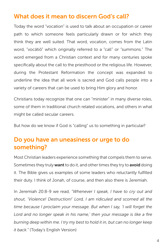#### What does it mean to discern God's call?

Today the word "vocation" is used to talk about an occupation or career path to which someone feels particularly drawn or for which they think they are well suited. That word, vocation, comes from the Latin word, "vocātiō" which originally referred to a "call" or "summons." The word emerged from a Christian context and for many centuries spoke specifically about the call to the priesthood or the religious life. However, during the Protestant Reformation the concept was expanded to underline the idea that all work is sacred and God calls people into a variety of careers that can be used to bring Him glory and honor.

Christians today recognize that one can "minister" in many diverse roles, some of them in traditional church related vocations, and others in what might be called secular careers.

But how do we know if God is "calling" us to something in particular?

#### Do you have an uneasiness or urge to do something?

Most Christian leaders experience something that compels them to serve. Sometimes they truly **want** to do it, and other times they try to **avoid** doing it. The Bible gives us examples of some leaders who reluctantly fulfilled their duty. I think of Jonah, of course, and then also there is Jeremiah.

In Jeremiah 20:8-9 we read, *"Whenever I speak, I have to cry out and shout, 'Violence! Destruction!' Lord, I am ridiculed and scorned all the time because I proclaim your message. But when I say, 'I will forget the*  Lord and no longer speak in his name,' then your message is like a fire *burning deep within me. I try my best to hold it in, but can no longer keep it back."* (Today's English Version)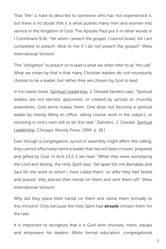That "fire" is hard to describe to someone who has not experienced it, but there is no doubt that it is what pushes many men and women into service in the Kingdom of God. The Apostle Paul put it in other words in I Corinthians 9:16, *"Yet when I preach the gospel, I cannot boast, for I am compelled to preach. Woe to me if I do not preach the gospel!"* (New International Version)

This "obligation" to preach or to lead is what we often refer to as "the call." What we mean by that is that many Christian leaders do not necessarily choose to be a leader, but rather they are chosen by God to lead.

In his classic book, Spiritual Leadership, J. Oswald Sanders says, "Spiritual leaders are not elected, appointed, or created by synods or churchly assemblies. God alone makes them. One does not become a spiritual leader by merely filling an office, taking course work in the subject, or resolving in one's own will to do this task." [Sanders, J. Oswald. Spiritual Leadership. Chicago: Moody Press, 1994. p. 18.]

Even though a congregation, synod or assembly might affirm the calling, they cannot effectively name a leader that has not been chosen, prepared and gifted by God. In Acts 13:2-3 we read, *"While they were worshiping the Lord and fasting, the Holy Spirit said, 'Set apart for me Barnabas and Saul for the work to which I have called them.' so after they had fasted and prayed, they placed their hands on them and sent them off."* (New International Version)

Why did they place their hands on them and name them formally to this ministry? Only because the Holy Spirit had already chosen them for the task.

It is important to recognize that it is God who chooses, trains, equips and empowers his leaders. While formal education, congregational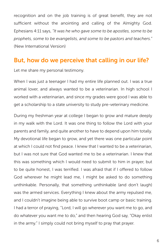recognition and on the job training is of great benefit, they are not sufficient without the anointing and calling of the Almighty God. Ephesians 4:11 says, *"It was he who gave some to be apostles, some to be prophets, some to be evangelists, and some to be pastors and teachers."* (New International Version)

#### But, how do we perceive that calling in our life?

Let me share my personal testimony.

When I was just a teenager I had my entire life planned out. I was a true animal lover, and always wanted to be a veterinarian. In high school I worked with a veterinarian, and since my grades were good I was able to get a scholarship to a state university to study pre-veterinary medicine.

During my freshman year at college I began to grow and mature deeply in my walk with the Lord. It was one thing to follow the Lord with your parents and family, and quite another to have to depend upon him totally. My devotional life began to grow, and yet there was one particular point at which I could not find peace. I knew that I wanted to be a veterinarian, but I was not sure that God wanted me to be a veterinarian. I knew that this was something which I would need to submit to him in prayer, but to be quite honest, I was terrified. I was afraid that if I offered to follow God wherever he might lead me, I might be asked to do something unthinkable. Personally, that something unthinkable (and don't laugh) was the armed services. Everything I knew about the army repulsed me, and I couldn't imagine being able to survive boot camp or basic training. I had a terror of praying, "Lord, I will go wherever you want me to go, and do whatever you want me to do," and then hearing God say, "Okay enlist in the army." I simply could not bring myself to pray that prayer.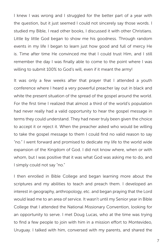I knew I was wrong and I struggled for the better part of a year with the question, but it just seemed I could not sincerely say those words. I studied my Bible, I read other books, I discussed it with other Christians. Little by little God began to show me his goodness. Through random events in my life I began to learn just how good and full of mercy He is. Time after time He convinced me that I could trust Him, and I still remember the day I was finally able to come to the point where I was willing to submit 100% to God's will, even if it meant the army!

It was only a few weeks after that prayer that I attended a youth conference where I heard a very powerful preacher lay out in black and white the present situation of the spread of the gospel around the world. For the first time I realized that almost a third of the world's population had never really had a valid opportunity to hear the gospel message in terms they could understand. They had never truly been given the choice to accept it or reject it. When the preacher asked who would be willing to take the gospel message to them I could find no valid reason to say "no." I went forward and promised to dedicate my life to the world wide expansion of the Kingdom of God. I did not know where, when or with whom, but I was positive that it was what God was asking me to do, and I simply could not say "no."

I then enrolled in Bible College and began learning more about the scriptures and my abilities to teach and preach them. I developed an interest in geography, anthropology, etc. and began praying that the Lord would lead me to an area of service. It wasn't until my Senior year in Bible College that I attended the National Missionary Convention, looking for an opportunity to serve. I met Doug Lucas, who at the time was trying to find a few people to join with him in a mission effort to Montevideo, Uruguay. I talked with him, conversed with my parents, and shared the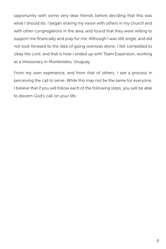opportunity with some very dear friends before deciding that this was what I should do. I began sharing my vision with others in my church and with other congregations in the area, and found that they were willing to support me financially and pray for me. Although I was still single, and did not look forward to the idea of going overseas alone, I felt compelled to obey the Lord, and that is how I ended up with Team Expansion, working as a missionary in Montevideo, Uruguay.

From my own experience, and from that of others, I see a process in perceiving the call to serve. While this may not be the same for everyone, I believe that if you will follow each of the following steps, you will be able to discern God's call on your life.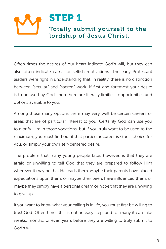

Often times the desires of our heart indicate God's will, but they can also often indicate carnal or selfish motivations. The early Protestant leaders were right in understanding that, in reality, there is no distinction between "secular" and "sacred" work. If first and foremost your desire is to be used by God, then there are literally limitless opportunities and options available to you.

Among those many options there may very well be certain careers or areas that are of particular interest to you. Certainly God can use you to glorify Him in those vocations, but if you truly want to be used to the maximum, you must find out if that particular career is God's choice for you, or simply your own self-centered desire.

The problem that many young people face, however, is that they are afraid or unwilling to tell God that they are prepared to follow Him wherever it may be that He leads them. Maybe their parents have placed expectations upon them, or maybe their peers have influenced them, or maybe they simply have a personal dream or hope that they are unwilling to give up.

If you want to know what your calling is in life, you must first be willing to trust God. Often times this is not an easy step, and for many it can take weeks, months, or even years before they are willing to truly submit to God's will.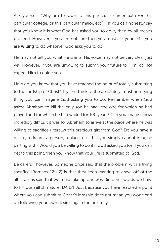Ask yourself, "Why am I drawn to this particular career path (or this particular college, or this particular major, etc.)?" If you can honestly say that you know it is what God has asked you to do it, then by all means proceed. However, if you are not sure then you must ask yourself if you are willing to do whatever God asks you to do.

He may not tell you what He wants. His voice may not be very clear just yet. However, if you are unwilling to submit your future to Him, do not expect Him to guide you.

How do you know that you have reached the point of totally submitting to the lordship of Christ? Try and think of the absolutely, most horrifying thing you can imagine God asking you to do. Remember when God asked Abraham to kill the only son he had—the one for which he had prayed and for which he had waited for 100 years? Can you imagine how incredibly difficult it was for Abraham to arrive at the place where he was willing to sacrifice (literally) this precious gift from God? Do you have a desire, a dream, a person, a place, etc. that you simply cannot imagine parting with? Would you be willing to do it if God asked you to? If you can get to this point, then you know that your life is submitted to God.

Be careful, however. Someone once said that the problem with a living sacrifice (Romans 12:1-2) is that they keep wanting to crawl off of the altar. Jesus said that we must take up our cross (in other words we have to kill our selfish nature) DAILY! Just because you have reached a point where you can submit to Christ's lordship does not mean you won't end up following your own desires again the next day.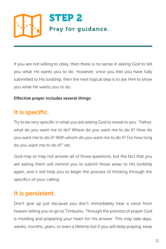

If you are not willing to obey, then there is no sense in asking God to tell you what He wants you to do. However, once you feel you have fully submitted to His lordship, then the next logical step is to ask Him to show you what He wants you to do.

#### Effective prayer includes several things:

#### It is specific.

Try to be very specific in what you are asking God to reveal to you. "Father, what do you want me to do? Where do you want me to do it? How do you want me to do it? With whom do you want me to do it? For how long do you want me to do it?" etc.

God may or may not answer all of those questions, but the fact that you are asking them will remind you to submit those areas to His lordship again, and it will help you to begin the process of thinking through the specifics of your calling.

#### It is persistent.

Don't give up just because you don't immediately hear a voice from heaven telling you to go to Timbuktu. Through the process of prayer God is molding and preparing your heart for His answer. This may take days, weeks, months, years, or even a lifetime but if you will keep praying, keep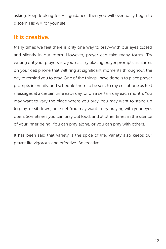asking, keep looking for His guidance, then you will eventually begin to discern His will for your life.

#### It is creative.

Many times we feel there is only one way to pray—with our eyes closed and silently in our room. However, prayer can take many forms. Try writing out your prayers in a journal. Try placing prayer prompts as alarms on your cell phone that will ring at significant moments throughout the day to remind you to pray. One of the things I have done is to place prayer prompts in emails, and schedule them to be sent to my cell phone as text messages at a certain time each day, or on a certain day each month. You may want to vary the place where you pray. You may want to stand up to pray, or sit down, or kneel. You may want to try praying with your eyes open. Sometimes you can pray out loud, and at other times in the silence of your inner being. You can pray alone, or you can pray with others.

It has been said that variety is the spice of life. Variety also keeps our prayer life vigorous and effective. Be creative!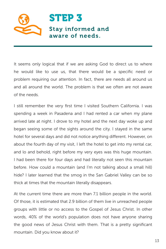

It seems only logical that if we are asking God to direct us to where he would like to use us, that there would be a specific need or problem requiring our attention. In fact, there are needs all around us and all around the world. The problem is that we often are not aware of the needs.

I still remember the very first time I visited Southern California. I was spending a week in Pasadena and I had rented a car when my plane arrived late at night. I drove to my hotel and the next day woke up and began seeing some of the sights around the city. I stayed in the same hotel for several days and did not notice anything different. However, on about the fourth day of my visit, I left the hotel to get into my rental car, and lo and behold, right before my very eyes was this huge mountain. I had been there for four days and had literally not seen this mountain before. How could a mountain (and I'm not talking about a small hill) hide? I later learned that the smog in the San Gabriel Valley can be so thick at times that the mountain literally disappears.

At the current time there are more than 7.1 billion people in the world. Of those, it is estimated that 2.9 billion of them live in unreached people groups with little or no access to the Gospel of Jesus Christ. In other words, 40% of the world's population does not have anyone sharing the good news of Jesus Christ with them. That is a pretty significant mountain. Did you know about it?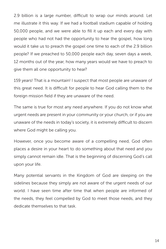2.9 billion is a large number, difficult to wrap our minds around. Let me illustrate it this way. If we had a football stadium capable of holding 50,000 people, and we were able to fill it up each and every day with people who had not had the opportunity to hear the gospel, how long would it take us to preach the gospel one time to each of the 2.9 billion people? If we preached to 50,000 people each day, seven days a week, 12 months out of the year, how many years would we have to preach to give them all one opportunity to hear?

159 years! That is a mountain! I suspect that most people are unaware of this great need. It is difficult for people to hear God calling them to the foreign mission field if they are unaware of the need.

The same is true for most any need anywhere. If you do not know what urgent needs are present in your community or your church, or if you are unaware of the needs in today's society, it is extremely difficult to discern where God might be calling you.

However, once you become aware of a compelling need, God often places a desire in your heart to do something about that need and you simply cannot remain idle. That is the beginning of discerning God's call upon your life.

Many potential servants in the Kingdom of God are sleeping on the sidelines because they simply are not aware of the urgent needs of our world. I have seen time after time that when people are informed of the needs, they feel compelled by God to meet those needs, and they dedicate themselves to that task.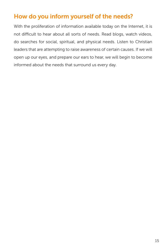#### How do you inform yourself of the needs?

With the proliferation of information available today on the Internet, it is not difficult to hear about all sorts of needs. Read blogs, watch videos, do searches for social, spiritual, and physical needs. Listen to Christian leaders that are attempting to raise awareness of certain causes. If we will open up our eyes, and prepare our ears to hear, we will begin to become informed about the needs that surround us every day.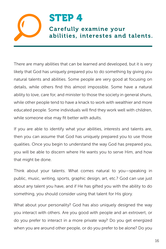### STEP 4 Carefully examine your abilities, interestes and talents.

There are many abilities that can be learned and developed, but it is very likely that God has uniquely prepared you to do something by giving you natural talents and abilities. Some people are very good at focusing on details, while others find this almost impossible. Some have a natural ability to love, care for, and minister to those the society in general shuns, while other people tend to have a knack to work with wealthier and more educated people. Some individuals will find they work well with children, while someone else may fit better with adults.

If you are able to identify what your abilities, interests and talents are, then you can assume that God has uniquely prepared you to use those qualities. Once you begin to understand the way God has prepared you, you will be able to discern where He wants you to serve Him, and how that might be done.

Think about your talents. What comes natural to you—speaking in public, music, writing, sports, graphic design, art, etc.? God can use just about any talent you have, and if He has gifted you with the ability to do something, you should consider using that talent for His glory.

What about your personality? God has also uniquely designed the way you interact with others. Are you good with people and an extrovert, or do you prefer to interact in a more private way? Do you get energized when you are around other people, or do you prefer to be alone? Do you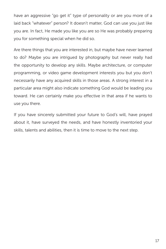have an aggressive "go get it" type of personality or are you more of a laid back "whatever" person? It doesn't matter, God can use you just like you are. In fact, He made you like you are so He was probably preparing you for something special when he did so.

Are there things that you are interested in, but maybe have never learned to do? Maybe you are intrigued by photography but never really had the opportunity to develop any skills. Maybe architecture, or computer programming, or video game development interests you but you don't necessarily have any acquired skills in those areas. A strong interest in a particular area might also indicate something God would be leading you toward. He can certainly make you effective in that area if he wants to use you there.

If you have sincerely submitted your future to God's will, have prayed about it, have surveyed the needs, and have honestly inventoried your skills, talents and abilities, then it is time to move to the next step.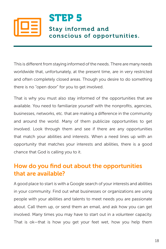

This is different from staying informed of the needs. There are many needs worldwide that, unfortunately, at the present time, are in very restricted and often completely closed areas. Though you desire to do something there is no "open door" for you to get involved.

That is why you must also stay informed of the opportunities that are available. You need to familiarize yourself with the nonprofits, agencies, businesses, networks, etc. that are making a difference in the community and around the world. Many of them publicize opportunities to get involved. Look through them and see if there are any opportunities that match your abilities and interests. When a need lines up with an opportunity that matches your interests and abilities, there is a good chance that God is calling you to it.

#### How do you find out about the opportunities that are available?

A good place to start is with a Google search of your interests and abilities in your community. Find out what businesses or organizations are using people with your abilities and talents to meet needs you are passionate about. Call them up, or send them an email, and ask how you can get involved. Many times you may have to start out in a volunteer capacity. That is ok—that is how you get your feet wet, how you help them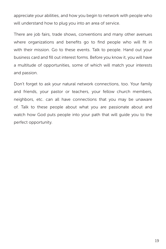appreciate your abilities, and how you begin to network with people who will understand how to plug you into an area of service.

There are job fairs, trade shows, conventions and many other avenues where organizations and benefits go to find people who will fit in with their mission. Go to these events. Talk to people. Hand out your business card and fill out interest forms. Before you know it, you will have a multitude of opportunities, some of which will match your interests and passion.

Don't forget to ask your natural network connections, too. Your family and friends, your pastor or teachers, your fellow church members, neighbors, etc. can all have connections that you may be unaware of. Talk to these people about what you are passionate about and watch how God puts people into your path that will guide you to the perfect opportunity.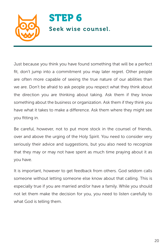

Just because you think you have found something that will be a perfect fit, don't jump into a commitment you may later regret. Other people are often more capable of seeing the true nature of our abilities than we are. Don't be afraid to ask people you respect what they think about the direction you are thinking about taking. Ask them if they know something about the business or organization. Ask them if they think you have what it takes to make a difference. Ask them where they might see you fitting in.

Be careful, however, not to put more stock in the counsel of friends, over and above the urging of the Holy Spirit. You need to consider very seriously their advice and suggestions, but you also need to recognize that they may or may not have spent as much time praying about it as you have.

It is important, however to get feedback from others. God seldom calls someone without letting someone else know about that calling. This is especially true if you are married and/or have a family. While you should not let them make the decision for you, you need to listen carefully to what God is telling them.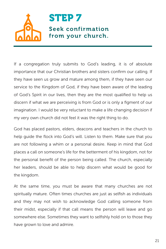

If a congregation truly submits to God's leading, it is of absolute importance that our Christian brothers and sisters confirm our calling. If they have seen us grow and mature among them, if they have seen our service to the Kingdom of God, if they have been aware of the leading of God's Spirit in our lives, then they are the most qualified to help us discern if what we are perceiving is from God or is only a figment of our imagination. I would be very reluctant to make a life changing decision if my very own church did not feel it was the right thing to do.

God has placed pastors, elders, deacons and teachers in the church to help guide the flock into God's will. Listen to them. Make sure that you are not following a whim or a personal desire. Keep in mind that God places a call on someone's life for the betterment of his kingdom, not for the personal benefit of the person being called. The church, especially her leaders, should be able to help discern what would be good for the kingdom.

At the same time, you must be aware that many churches are not spiritually mature. Often times churches are just as selfish as individuals and they may not wish to acknowledge God calling someone from their midst, especially if that call means the person will leave and go somewhere else. Sometimes they want to selfishly hold on to those they have grown to love and admire.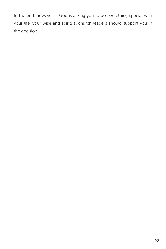In the end, however, if God is asking you to do something special with your life, your wise and spiritual church leaders should support you in the decision.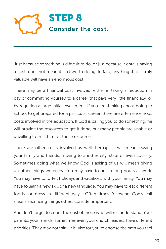

Just because something is difficult to do, or just because it entails paying a cost, does not mean it isn't worth doing. In fact, anything that is truly valuable will have an enormous cost.

There may be a financial cost involved, either in taking a reduction in pay or committing yourself to a career that pays very little financially, or by requiring a large initial investment. If you are thinking about going to school to get prepared for a particular career, there are often enormous costs involved in the education. If God is calling you to do something, he will provide the resources to get it done, but many people are unable or unwilling to trust him for those resources.

There are other costs involved as well. Perhaps it will mean leaving your family and friends, moving to another city, state or even country. Sometimes doing what we know God is asking of us will mean giving up other things we enjoy. You may have to put in long hours at work. You may have to forfeit holidays and vacations with your family. You may have to learn a new skill or a new language. You may have to eat different foods, or dress in different ways. Often times following God's call means sacrificing things others consider important.

And don't forget to count the cost of those who will misunderstand. Your parents, your friends, sometimes even your church leaders, have different priorities. They may not think it is wise for you to choose the path you feel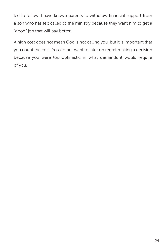led to follow. I have known parents to withdraw financial support from a son who has felt called to the ministry because they want him to get a "good" job that will pay better.

A high cost does not mean God is not calling you, but it is important that you count the cost. You do not want to later on regret making a decision because you were too optimistic in what demands it would require of you.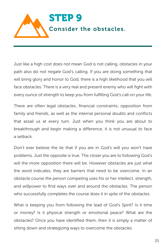

Just like a high cost does not mean God is not calling, obstacles in your path also do not negate God's calling. If you are doing something that will bring glory and honor to God, there is a high likelihood that you will face obstacles. There is a very real and present enemy who will fight with every ounce of strength to keep you from fulfilling God's call on your life.

There are often legal obstacles, financial constraints, opposition from family and friends, as well as the internal personal doubts and conflicts that assail us at every turn. Just when you think you are about to breakthrough and begin making a difference, it is not unusual to face a setback.

Don't ever believe the lie that if you are in God's will you won't have problems. Just the opposite is true. The closer you are to following God's will the more opposition there will be. However obstacles are just what the word indicates, they are barriers that need to be overcome. In an obstacle course the person competing uses his or her intellect, strength, and willpower to find ways over and around the obstacles. The person who successfully completes the course does it in spite of the obstacles.

What is keeping you from following the lead of God's Spirit? Is it time or money? Is it physical strength or emotional peace? What are the obstacles? Once you have identified them, then it is simply a matter of sitting down and strategizing ways to overcome the obstacles.